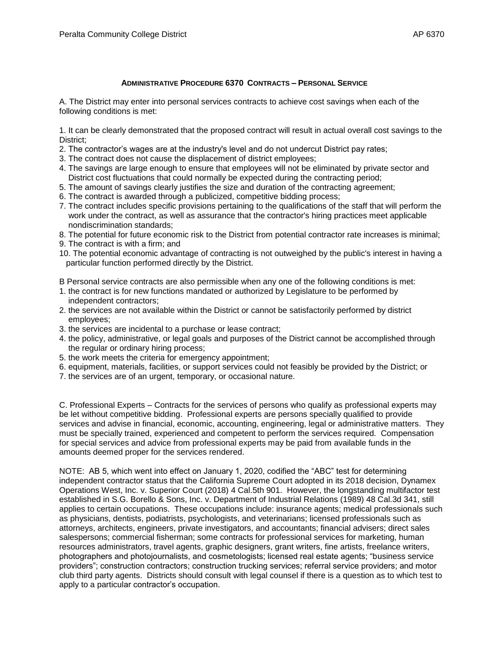## **ADMINISTRATIVE PROCEDURE 6370 CONTRACTS – PERSONAL SERVICE**

A. The District may enter into personal services contracts to achieve cost savings when each of the following conditions is met:

1. It can be clearly demonstrated that the proposed contract will result in actual overall cost savings to the District;

- 2. The contractor's wages are at the industry's level and do not undercut District pay rates;
- 3. The contract does not cause the displacement of district employees;
- 4. The savings are large enough to ensure that employees will not be eliminated by private sector and District cost fluctuations that could normally be expected during the contracting period;
- 5. The amount of savings clearly justifies the size and duration of the contracting agreement;
- 6. The contract is awarded through a publicized, competitive bidding process;
- 7. The contract includes specific provisions pertaining to the qualifications of the staff that will perform the work under the contract, as well as assurance that the contractor's hiring practices meet applicable nondiscrimination standards;
- 8. The potential for future economic risk to the District from potential contractor rate increases is minimal;
- 9. The contract is with a firm; and
- 10. The potential economic advantage of contracting is not outweighed by the public's interest in having a particular function performed directly by the District.

B Personal service contracts are also permissible when any one of the following conditions is met:

- 1. the contract is for new functions mandated or authorized by Legislature to be performed by independent contractors;
- 2. the services are not available within the District or cannot be satisfactorily performed by district employees;
- 3. the services are incidental to a purchase or lease contract;
- 4. the policy, administrative, or legal goals and purposes of the District cannot be accomplished through the regular or ordinary hiring process;
- 5. the work meets the criteria for emergency appointment;
- 6. equipment, materials, facilities, or support services could not feasibly be provided by the District; or
- 7. the services are of an urgent, temporary, or occasional nature.

C. Professional Experts – Contracts for the services of persons who qualify as professional experts may be let without competitive bidding. Professional experts are persons specially qualified to provide services and advise in financial, economic, accounting, engineering, legal or administrative matters. They must be specially trained, experienced and competent to perform the services required. Compensation for special services and advice from professional experts may be paid from available funds in the amounts deemed proper for the services rendered.

NOTE: AB 5, which went into effect on January 1, 2020, codified the "ABC" test for determining independent contractor status that the California Supreme Court adopted in its 2018 decision, Dynamex Operations West, Inc. v. Superior Court (2018) 4 Cal.5th 901. However, the longstanding multifactor test established in S.G. Borello & Sons, Inc. v. Department of Industrial Relations (1989) 48 Cal.3d 341, still applies to certain occupations. These occupations include: insurance agents; medical professionals such as physicians, dentists, podiatrists, psychologists, and veterinarians; licensed professionals such as attorneys, architects, engineers, private investigators, and accountants; financial advisers; direct sales salespersons; commercial fisherman; some contracts for professional services for marketing, human resources administrators, travel agents, graphic designers, grant writers, fine artists, freelance writers, photographers and photojournalists, and cosmetologists; licensed real estate agents; "business service providers"; construction contractors; construction trucking services; referral service providers; and motor club third party agents. Districts should consult with legal counsel if there is a question as to which test to apply to a particular contractor's occupation.